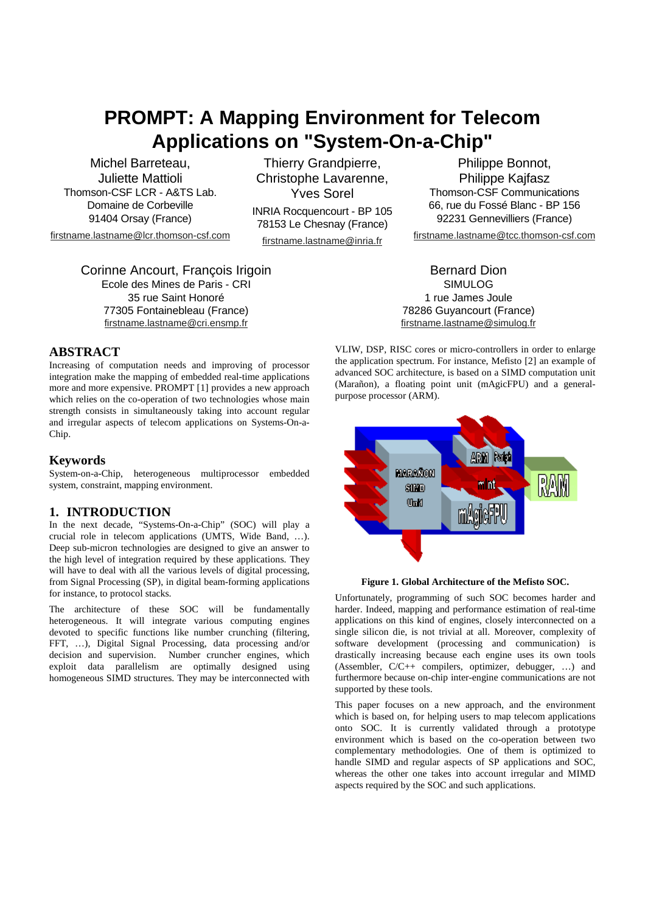# **PROMPT: A Mapping Environment for Telecom Applications on "System-On-a-Chip"**

Michel Barreteau, Juliette Mattioli Thomson-CSF LCR - A&TS Lab. Domaine de Corbeville 91404 Orsay (France)

firstname.lastname@lcr.thomson-csf.com

Corinne Ancourt, François Irigoin Ecole des Mines de Paris - CRI 35 rue Saint Honoré 77305 Fontainebleau (France) firstname.lastname@cri.ensmp.fr

Thierry Grandpierre, Christophe Lavarenne, Yves Sorel

INRIA Rocquencourt - BP 105 78153 Le Chesnay (France)

firstname.lastname@inria.fr

Philippe Bonnot, Philippe Kajfasz Thomson-CSF Communications 66, rue du Fossé Blanc - BP 156 92231 Gennevilliers (France)

firstname.lastname@tcc.thomson-csf.com

Bernard Dion SIMULOG 1 rue James Joule 78286 Guyancourt (France) firstname.lastname@simulog.fr

## **ABSTRACT**

Increasing of computation needs and improving of processor integration make the mapping of embedded real-time applications more and more expensive. PROMPT [1] provides a new approach which relies on the co-operation of two technologies whose main strength consists in simultaneously taking into account regular and irregular aspects of telecom applications on Systems-On-a-Chip.

### **Keywords**

System-on-a-Chip, heterogeneous multiprocessor embedded system, constraint, mapping environment.

## **1. INTRODUCTION**

In the next decade, "Systems-On-a-Chip" (SOC) will play a crucial role in telecom applications (UMTS, Wide Band, …). Deep sub-micron technologies are designed to give an answer to the high level of integration required by these applications. They will have to deal with all the various levels of digital processing, from Signal Processing (SP), in digital beam-forming applications for instance, to protocol stacks.

The architecture of these SOC will be fundamentally heterogeneous. It will integrate various computing engines devoted to specific functions like number crunching (filtering, FFT, …), Digital Signal Processing, data processing and/or decision and supervision. Number cruncher engines, which exploit data parallelism are optimally designed using homogeneous SIMD structures. They may be interconnected with

VLIW, DSP, RISC cores or micro-controllers in order to enlarge the application spectrum. For instance, Mefisto [2] an example of advanced SOC architecture, is based on a SIMD computation unit (Marañon), a floating point unit (mAgicFPU) and a generalpurpose processor (ARM).





Unfortunately, programming of such SOC becomes harder and harder. Indeed, mapping and performance estimation of real-time applications on this kind of engines, closely interconnected on a single silicon die, is not trivial at all. Moreover, complexity of software development (processing and communication) is drastically increasing because each engine uses its own tools (Assembler, C/C++ compilers, optimizer, debugger, …) and furthermore because on-chip inter-engine communications are not supported by these tools.

This paper focuses on a new approach, and the environment which is based on, for helping users to map telecom applications onto SOC. It is currently validated through a prototype environment which is based on the co-operation between two complementary methodologies. One of them is optimized to handle SIMD and regular aspects of SP applications and SOC, whereas the other one takes into account irregular and MIMD aspects required by the SOC and such applications.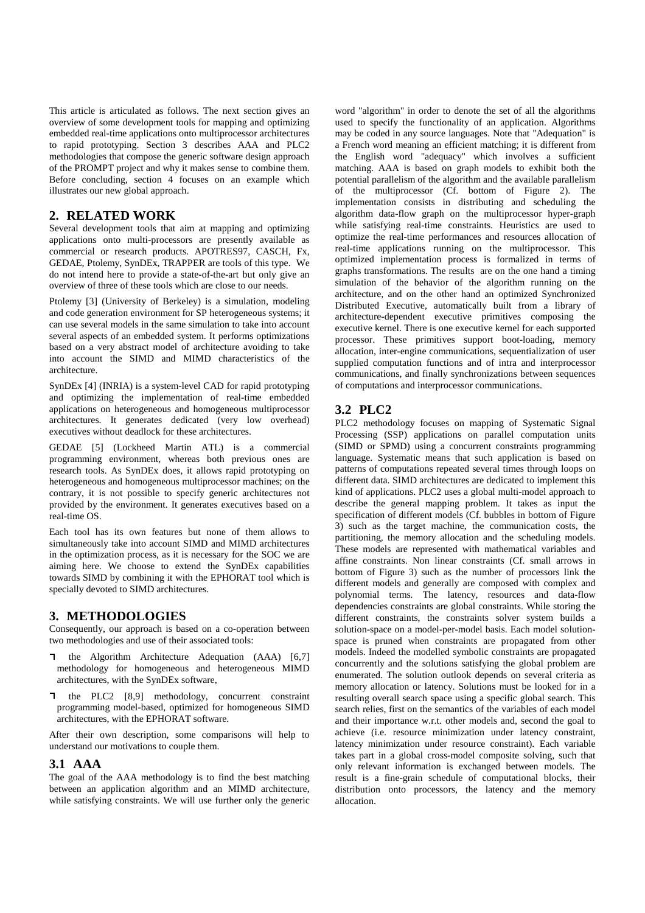This article is articulated as follows. The next section gives an overview of some development tools for mapping and optimizing embedded real-time applications onto multiprocessor architectures to rapid prototyping. Section 3 describes AAA and PLC2 methodologies that compose the generic software design approach of the PROMPT project and why it makes sense to combine them. Before concluding, section 4 focuses on an example which illustrates our new global approach.

# **2. RELATED WORK**

Several development tools that aim at mapping and optimizing applications onto multi-processors are presently available as commercial or research products. APOTRES97, CASCH, Fx, GEDAE, Ptolemy, SynDEx, TRAPPER are tools of this type. We do not intend here to provide a state-of-the-art but only give an overview of three of these tools which are close to our needs.

Ptolemy [3] (University of Berkeley) is a simulation, modeling and code generation environment for SP heterogeneous systems; it can use several models in the same simulation to take into account several aspects of an embedded system. It performs optimizations based on a very abstract model of architecture avoiding to take into account the SIMD and MIMD characteristics of the architecture.

SynDEx [4] (INRIA) is a system-level CAD for rapid prototyping and optimizing the implementation of real-time embedded applications on heterogeneous and homogeneous multiprocessor architectures. It generates dedicated (very low overhead) executives without deadlock for these architectures.

GEDAE [5] (Lockheed Martin ATL) is a commercial programming environment, whereas both previous ones are research tools. As SynDEx does, it allows rapid prototyping on heterogeneous and homogeneous multiprocessor machines; on the contrary, it is not possible to specify generic architectures not provided by the environment. It generates executives based on a real-time OS.

Each tool has its own features but none of them allows to simultaneously take into account SIMD and MIMD architectures in the optimization process, as it is necessary for the SOC we are aiming here. We choose to extend the SynDEx capabilities towards SIMD by combining it with the EPHORAT tool which is specially devoted to SIMD architectures.

# **3. METHODOLOGIES**

Consequently, our approach is based on a co-operation between two methodologies and use of their associated tools:

- the Algorithm Architecture Adequation (AAA) [6,7] methodology for homogeneous and heterogeneous MIMD architectures, with the SynDEx software,
- $\mathbf{\mathbf{a}}$ the PLC2 [8,9] methodology, concurrent constraint programming model-based, optimized for homogeneous SIMD architectures, with the EPHORAT software.

After their own description, some comparisons will help to understand our motivations to couple them.

## **3.1 AAA**

The goal of the AAA methodology is to find the best matching between an application algorithm and an MIMD architecture, while satisfying constraints. We will use further only the generic

word "algorithm" in order to denote the set of all the algorithms used to specify the functionality of an application. Algorithms may be coded in any source languages. Note that "Adequation" is a French word meaning an efficient matching; it is different from the English word "adequacy" which involves a sufficient matching. AAA is based on graph models to exhibit both the potential parallelism of the algorithm and the available parallelism of the multiprocessor (Cf. bottom of Figure 2). The implementation consists in distributing and scheduling the algorithm data-flow graph on the multiprocessor hyper-graph while satisfying real-time constraints. Heuristics are used to optimize the real-time performances and resources allocation of real-time applications running on the multiprocessor. This optimized implementation process is formalized in terms of graphs transformations. The results are on the one hand a timing simulation of the behavior of the algorithm running on the architecture, and on the other hand an optimized Synchronized Distributed Executive, automatically built from a library of architecture-dependent executive primitives composing the executive kernel. There is one executive kernel for each supported processor. These primitives support boot-loading, memory allocation, inter-engine communications, sequentialization of user supplied computation functions and of intra and interprocessor communications, and finally synchronizations between sequences of computations and interprocessor communications.

# **3.2 PLC2**

PLC2 methodology focuses on mapping of Systematic Signal Processing (SSP) applications on parallel computation units (SIMD or SPMD) using a concurrent constraints programming language. Systematic means that such application is based on patterns of computations repeated several times through loops on different data. SIMD architectures are dedicated to implement this kind of applications. PLC2 uses a global multi-model approach to describe the general mapping problem. It takes as input the specification of different models (Cf. bubbles in bottom of Figure 3) such as the target machine, the communication costs, the partitioning, the memory allocation and the scheduling models. These models are represented with mathematical variables and affine constraints. Non linear constraints (Cf. small arrows in bottom of Figure 3) such as the number of processors link the different models and generally are composed with complex and polynomial terms. The latency, resources and data-flow dependencies constraints are global constraints. While storing the different constraints, the constraints solver system builds a solution-space on a model-per-model basis. Each model solutionspace is pruned when constraints are propagated from other models. Indeed the modelled symbolic constraints are propagated concurrently and the solutions satisfying the global problem are enumerated. The solution outlook depends on several criteria as memory allocation or latency. Solutions must be looked for in a resulting overall search space using a specific global search. This search relies, first on the semantics of the variables of each model and their importance w.r.t. other models and, second the goal to achieve (i.e. resource minimization under latency constraint, latency minimization under resource constraint). Each variable takes part in a global cross-model composite solving, such that only relevant information is exchanged between models. The result is a fine-grain schedule of computational blocks, their distribution onto processors, the latency and the memory allocation.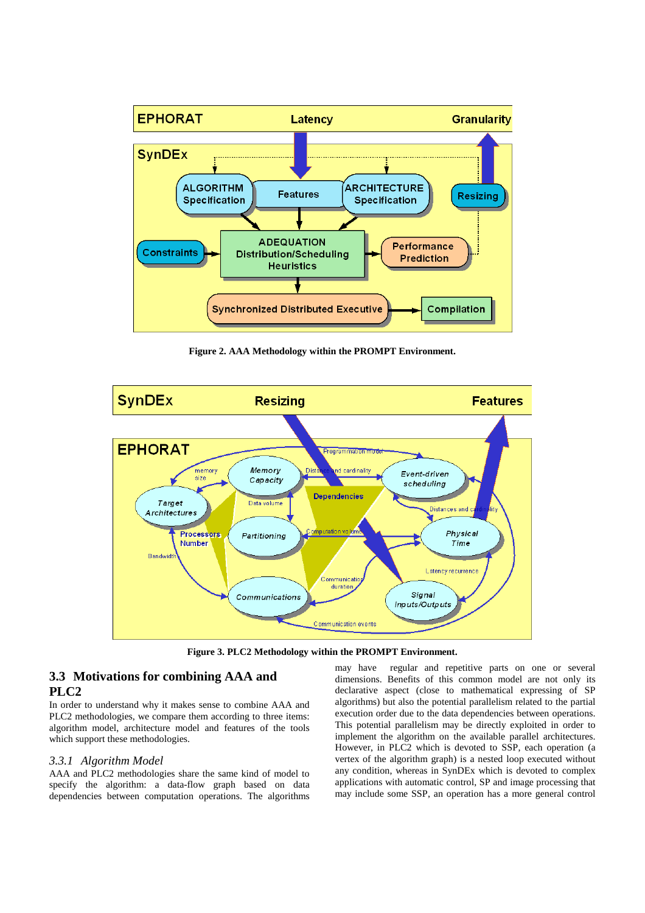

**Figure 2. AAA Methodology within the PROMPT Environment.**



**Figure 3. PLC2 Methodology within the PROMPT Environment.**

# **3.3 Motivations for combining AAA and PLC2**

In order to understand why it makes sense to combine AAA and PLC2 methodologies, we compare them according to three items: algorithm model, architecture model and features of the tools which support these methodologies.

#### *3.3.1 Algorithm Model*

AAA and PLC2 methodologies share the same kind of model to specify the algorithm: a data-flow graph based on data dependencies between computation operations. The algorithms

may have regular and repetitive parts on one or several dimensions. Benefits of this common model are not only its declarative aspect (close to mathematical expressing of SP algorithms) but also the potential parallelism related to the partial execution order due to the data dependencies between operations. This potential parallelism may be directly exploited in order to implement the algorithm on the available parallel architectures. However, in PLC2 which is devoted to SSP, each operation (a vertex of the algorithm graph) is a nested loop executed without any condition, whereas in SynDEx which is devoted to complex applications with automatic control, SP and image processing that may include some SSP, an operation has a more general control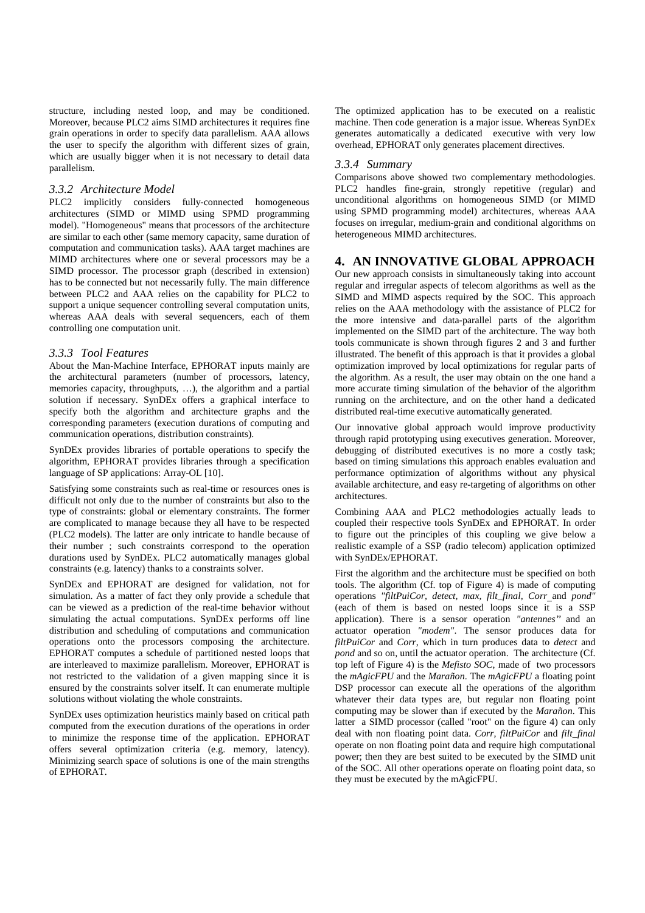structure, including nested loop, and may be conditioned. Moreover, because PLC2 aims SIMD architectures it requires fine grain operations in order to specify data parallelism. AAA allows the user to specify the algorithm with different sizes of grain, which are usually bigger when it is not necessary to detail data parallelism.

### *3.3.2 Architecture Model*

PLC2 implicitly considers fully-connected homogeneous architectures (SIMD or MIMD using SPMD programming model). "Homogeneous" means that processors of the architecture are similar to each other (same memory capacity, same duration of computation and communication tasks). AAA target machines are MIMD architectures where one or several processors may be a SIMD processor. The processor graph (described in extension) has to be connected but not necessarily fully. The main difference between PLC2 and AAA relies on the capability for PLC2 to support a unique sequencer controlling several computation units, whereas AAA deals with several sequencers, each of them controlling one computation unit.

#### *3.3.3 Tool Features*

About the Man-Machine Interface, EPHORAT inputs mainly are the architectural parameters (number of processors, latency, memories capacity, throughputs, …), the algorithm and a partial solution if necessary. SynDEx offers a graphical interface to specify both the algorithm and architecture graphs and the corresponding parameters (execution durations of computing and communication operations, distribution constraints).

SynDEx provides libraries of portable operations to specify the algorithm, EPHORAT provides libraries through a specification language of SP applications: Array-OL [10].

Satisfying some constraints such as real-time or resources ones is difficult not only due to the number of constraints but also to the type of constraints: global or elementary constraints. The former are complicated to manage because they all have to be respected (PLC2 models). The latter are only intricate to handle because of their number ; such constraints correspond to the operation durations used by SynDEx. PLC2 automatically manages global constraints (e.g. latency) thanks to a constraints solver.

SynDEx and EPHORAT are designed for validation, not for simulation. As a matter of fact they only provide a schedule that can be viewed as a prediction of the real-time behavior without simulating the actual computations. SynDEx performs off line distribution and scheduling of computations and communication operations onto the processors composing the architecture. EPHORAT computes a schedule of partitioned nested loops that are interleaved to maximize parallelism. Moreover, EPHORAT is not restricted to the validation of a given mapping since it is ensured by the constraints solver itself. It can enumerate multiple solutions without violating the whole constraints.

SynDEx uses optimization heuristics mainly based on critical path computed from the execution durations of the operations in order to minimize the response time of the application. EPHORAT offers several optimization criteria (e.g. memory, latency). Minimizing search space of solutions is one of the main strengths of EPHORAT.

The optimized application has to be executed on a realistic machine. Then code generation is a major issue. Whereas SynDEx generates automatically a dedicated executive with very low overhead, EPHORAT only generates placement directives.

#### *3.3.4 Summary*

Comparisons above showed two complementary methodologies. PLC2 handles fine-grain, strongly repetitive (regular) and unconditional algorithms on homogeneous SIMD (or MIMD using SPMD programming model) architectures, whereas AAA focuses on irregular, medium-grain and conditional algorithms on heterogeneous MIMD architectures.

#### **4. AN INNOVATIVE GLOBAL APPROACH**

Our new approach consists in simultaneously taking into account regular and irregular aspects of telecom algorithms as well as the SIMD and MIMD aspects required by the SOC. This approach relies on the AAA methodology with the assistance of PLC2 for the more intensive and data-parallel parts of the algorithm implemented on the SIMD part of the architecture. The way both tools communicate is shown through figures 2 and 3 and further illustrated. The benefit of this approach is that it provides a global optimization improved by local optimizations for regular parts of the algorithm. As a result, the user may obtain on the one hand a more accurate timing simulation of the behavior of the algorithm running on the architecture, and on the other hand a dedicated distributed real-time executive automatically generated.

Our innovative global approach would improve productivity through rapid prototyping using executives generation. Moreover, debugging of distributed executives is no more a costly task; based on timing simulations this approach enables evaluation and performance optimization of algorithms without any physical available architecture, and easy re-targeting of algorithms on other architectures.

Combining AAA and PLC2 methodologies actually leads to coupled their respective tools SynDEx and EPHORAT. In order to figure out the principles of this coupling we give below a realistic example of a SSP (radio telecom) application optimized with SynDEx/EPHORAT.

First the algorithm and the architecture must be specified on both tools. The algorithm (Cf. top of Figure 4) is made of computing operations *"filtPuiCor, detect, max, filt\_final, Corr* and *pond"* (each of them is based on nested loops since it is a SSP application). There is a sensor operation *"antennes''* and an actuator operation *"modem"*. The sensor produces data for *filtPuiCor* and *Corr*, which in turn produces data to *detect* and *pond* and so on, until the actuator operation. The architecture (Cf. top left of Figure 4) is the *Mefisto SOC*, made of two processors the *mAgicFPU* and the *Marañon*. The *mAgicFPU* a floating point DSP processor can execute all the operations of the algorithm whatever their data types are, but regular non floating point computing may be slower than if executed by the *Marañon*. This latter a SIMD processor (called "root" on the figure 4) can only deal with non floating point data. *Corr, filtPuiCor* and *filt\_final* operate on non floating point data and require high computational power; then they are best suited to be executed by the SIMD unit of the SOC. All other operations operate on floating point data, so they must be executed by the mAgicFPU.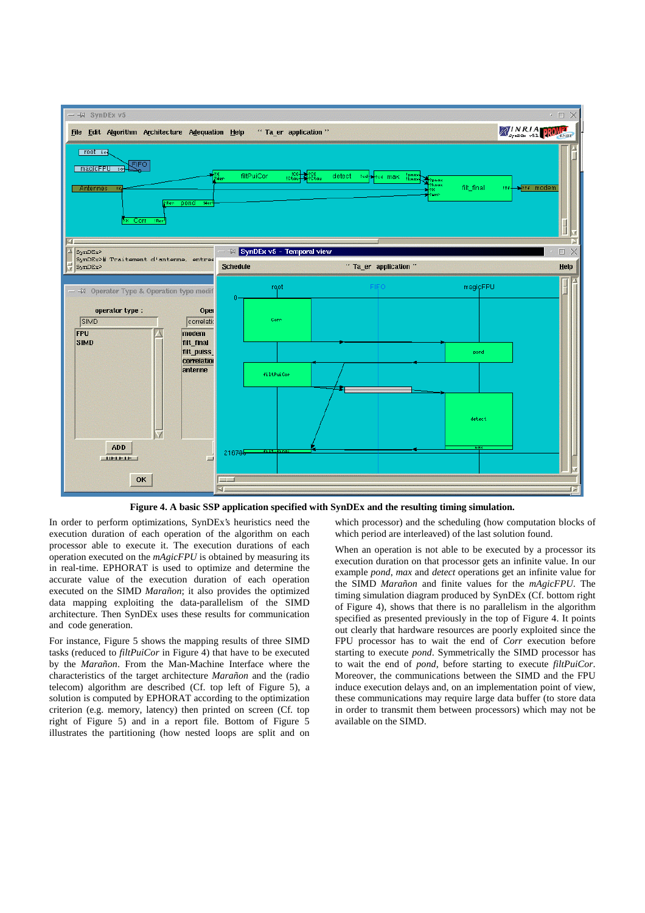

**Figure 4. A basic SSP application specified with SynDEx and the resulting timing simulation.**

In order to perform optimizations, SynDEx's heuristics need the execution duration of each operation of the algorithm on each processor able to execute it. The execution durations of each operation executed on the *mAgicFPU* is obtained by measuring its in real-time. EPHORAT is used to optimize and determine the accurate value of the execution duration of each operation executed on the SIMD *Marañon*; it also provides the optimized data mapping exploiting the data-parallelism of the SIMD architecture. Then SynDEx uses these results for communication and code generation.

For instance, Figure 5 shows the mapping results of three SIMD tasks (reduced to *filtPuiCor* in Figure 4) that have to be executed by the *Marañon*. From the Man-Machine Interface where the characteristics of the target architecture *Marañon* and the (radio telecom) algorithm are described (Cf. top left of Figure 5), a solution is computed by EPHORAT according to the optimization criterion (e.g. memory, latency) then printed on screen (Cf. top right of Figure 5) and in a report file. Bottom of Figure 5 illustrates the partitioning (how nested loops are split and on

which processor) and the scheduling (how computation blocks of which period are interleaved) of the last solution found.

When an operation is not able to be executed by a processor its execution duration on that processor gets an infinite value. In our example *pond*, *max* and *detect* operations get an infinite value for the SIMD *Marañon* and finite values for the *mAgicFPU*. The timing simulation diagram produced by SynDEx (Cf. bottom right of Figure 4), shows that there is no parallelism in the algorithm specified as presented previously in the top of Figure 4. It points out clearly that hardware resources are poorly exploited since the FPU processor has to wait the end of *Corr* execution before starting to execute *pond*. Symmetrically the SIMD processor has to wait the end of *pond*, before starting to execute *filtPuiCor*. Moreover, the communications between the SIMD and the FPU induce execution delays and, on an implementation point of view, these communications may require large data buffer (to store data in order to transmit them between processors) which may not be available on the SIMD.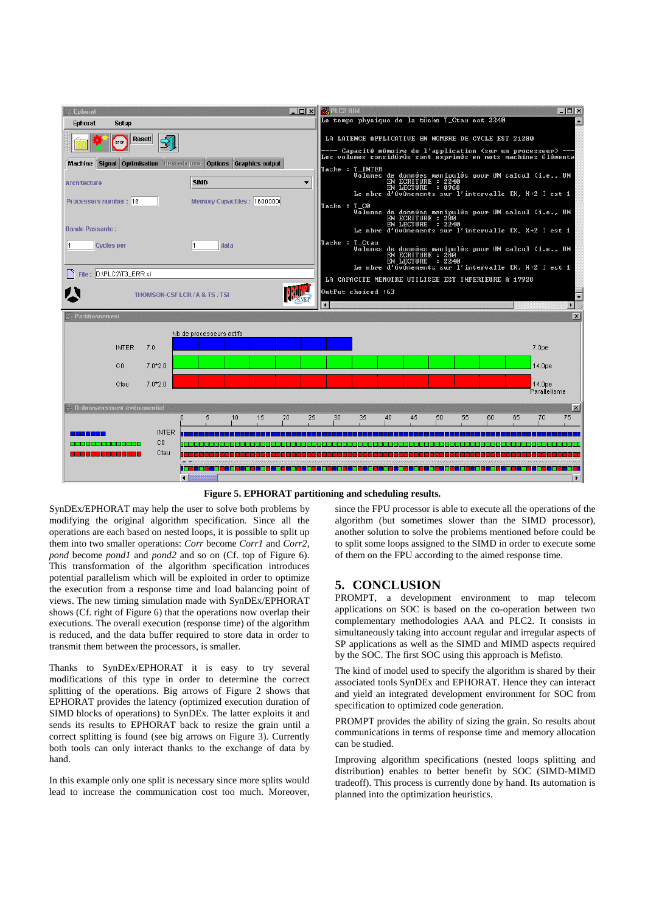

**Figure 5. EPHORAT partitioning and scheduling results.**

SynDEx/EPHORAT may help the user to solve both problems by modifying the original algorithm specification. Since all the operations are each based on nested loops, it is possible to split up them into two smaller operations: *Corr* become *Corr1* and *Corr2*, *pond* become *pond1* and *pond2* and so on (Cf. top of Figure 6). This transformation of the algorithm specification introduces potential parallelism which will be exploited in order to optimize the execution from a response time and load balancing point of views. The new timing simulation made with SynDEx/EPHORAT shows (Cf. right of Figure 6) that the operations now overlap their executions. The overall execution (response time) of the algorithm is reduced, and the data buffer required to store data in order to transmit them between the processors, is smaller.

Thanks to SynDEx/EPHORAT it is easy to try several modifications of this type in order to determine the correct splitting of the operations. Big arrows of Figure 2 shows that EPHORAT provides the latency (optimized execution duration of SIMD blocks of operations) to SynDEx. The latter exploits it and sends its results to EPHORAT back to resize the grain until a correct splitting is found (see big arrows on Figure 3). Currently both tools can only interact thanks to the exchange of data by hand.

In this example only one split is necessary since more splits would lead to increase the communication cost too much. Moreover,

since the FPU processor is able to execute all the operations of the algorithm (but sometimes slower than the SIMD processor), another solution to solve the problems mentioned before could be to split some loops assigned to the SIMD in order to execute some of them on the FPU according to the aimed response time.

## **5. CONCLUSION**

PROMPT, a development environment to map telecom applications on SOC is based on the co-operation between two complementary methodologies AAA and PLC2. It consists in simultaneously taking into account regular and irregular aspects of SP applications as well as the SIMD and MIMD aspects required by the SOC. The first SOC using this approach is Mefisto.

The kind of model used to specify the algorithm is shared by their associated tools SynDEx and EPHORAT. Hence they can interact and yield an integrated development environment for SOC from specification to optimized code generation.

PROMPT provides the ability of sizing the grain. So results about communications in terms of response time and memory allocation can be studied.

Improving algorithm specifications (nested loops splitting and distribution) enables to better benefit by SOC (SIMD-MIMD tradeoff). This process is currently done by hand. Its automation is planned into the optimization heuristics.